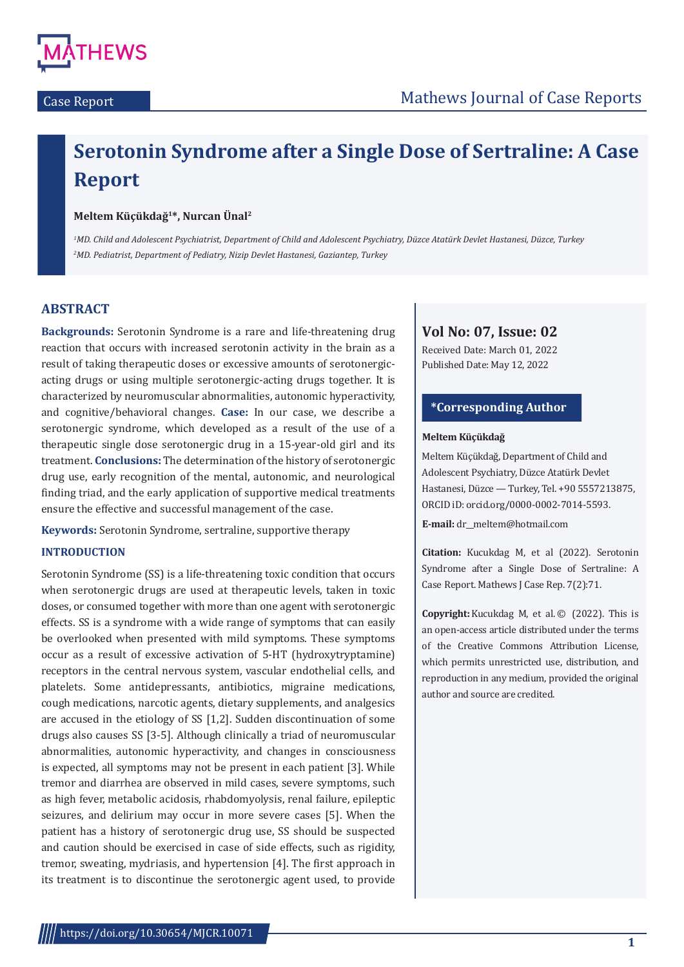

# **Serotonin Syndrome after a Single Dose of Sertraline: A Case Report**

## **Meltem Küçükdağ1\*, Nurcan Ünal2**

*1 MD. Child and Adolescent Psychiatrist, Department of Child and Adolescent Psychiatry, Düzce Atatürk Devlet Hastanesi, Düzce, Turkey 2 MD. Pediatrist, Department of Pediatry, Nizip Devlet Hastanesi, Gaziantep, Turkey*

# **ABSTRACT**

**Backgrounds:** Serotonin Syndrome is a rare and life-threatening drug reaction that occurs with increased serotonin activity in the brain as a result of taking therapeutic doses or excessive amounts of serotonergicacting drugs or using multiple serotonergic-acting drugs together. It is characterized by neuromuscular abnormalities, autonomic hyperactivity, and cognitive/behavioral changes. **Case:** In our case, we describe a serotonergic syndrome, which developed as a result of the use of a therapeutic single dose serotonergic drug in a 15-year-old girl and its treatment. **Conclusions:** The determination of the history of serotonergic drug use, early recognition of the mental, autonomic, and neurological finding triad, and the early application of supportive medical treatments ensure the effective and successful management of the case.

**Keywords:** Serotonin Syndrome, sertraline, supportive therapy

## **INTRODUCTION**

Serotonin Syndrome (SS) is a life-threatening toxic condition that occurs when serotonergic drugs are used at therapeutic levels, taken in toxic doses, or consumed together with more than one agent with serotonergic effects. SS is a syndrome with a wide range of symptoms that can easily be overlooked when presented with mild symptoms. These symptoms occur as a result of excessive activation of 5-HT (hydroxytryptamine) receptors in the central nervous system, vascular endothelial cells, and platelets. Some antidepressants, antibiotics, migraine medications, cough medications, narcotic agents, dietary supplements, and analgesics are accused in the etiology of SS [1,2]. Sudden discontinuation of some drugs also causes SS [3-5]. Although clinically a triad of neuromuscular abnormalities, autonomic hyperactivity, and changes in consciousness is expected, all symptoms may not be present in each patient [3]. While tremor and diarrhea are observed in mild cases, severe symptoms, such as high fever, metabolic acidosis, rhabdomyolysis, renal failure, epileptic seizures, and delirium may occur in more severe cases [5]. When the patient has a history of serotonergic drug use, SS should be suspected and caution should be exercised in case of side effects, such as rigidity, tremor, sweating, mydriasis, and hypertension [4]. The first approach in its treatment is to discontinue the serotonergic agent used, to provide

# **Vol No: 07, Issue: 02**

Received Date: March 01, 2022 Published Date: May 12, 2022

# **\*Corresponding Author**

#### **Meltem Küçükdağ**

Meltem Küçükdağ, Department of Child and Adolescent Psychiatry, Düzce Atatürk Devlet Hastanesi, Düzce — Turkey, Tel. +90 5557213875, ORCID iD: orcid.org/0000-0002-7014-5593.

**E-mail:** dr\_\_meltem@hotmail.com

**Citation:** Kucukdag M, et al (2022). Serotonin Syndrome after a Single Dose of Sertraline: A Case Report. Mathews J Case Rep. 7(2):71.

**Copyright:** Kucukdag M, et al. ©  (2022). This is an open-access article distributed under the terms of the Creative Commons Attribution License, which permits unrestricted use, distribution, and reproduction in any medium, provided the original author and source are credited.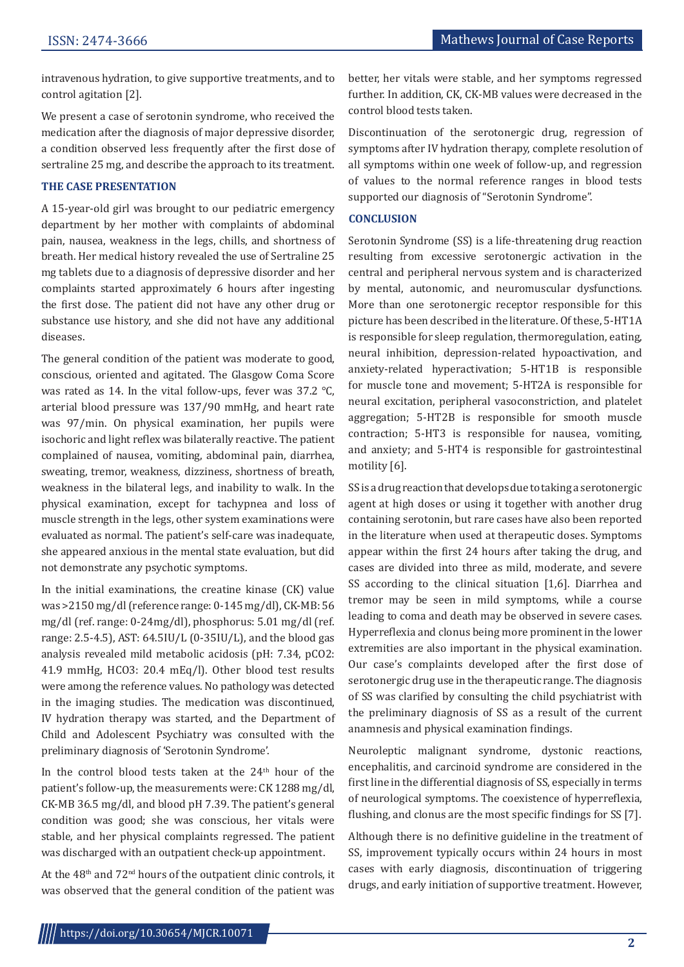intravenous hydration, to give supportive treatments, and to control agitation [2].

We present a case of serotonin syndrome, who received the medication after the diagnosis of major depressive disorder, a condition observed less frequently after the first dose of sertraline 25 mg, and describe the approach to its treatment.

#### **THE CASE PRESENTATION**

A 15-year-old girl was brought to our pediatric emergency department by her mother with complaints of abdominal pain, nausea, weakness in the legs, chills, and shortness of breath. Her medical history revealed the use of Sertraline 25 mg tablets due to a diagnosis of depressive disorder and her complaints started approximately 6 hours after ingesting the first dose. The patient did not have any other drug or substance use history, and she did not have any additional diseases.

The general condition of the patient was moderate to good, conscious, oriented and agitated. The Glasgow Coma Score was rated as 14. In the vital follow-ups, fever was 37.2 ℃, arterial blood pressure was 137/90 mmHg, and heart rate was 97/min. On physical examination, her pupils were isochoric and light reflex was bilaterally reactive. The patient complained of nausea, vomiting, abdominal pain, diarrhea, sweating, tremor, weakness, dizziness, shortness of breath, weakness in the bilateral legs, and inability to walk. In the physical examination, except for tachypnea and loss of muscle strength in the legs, other system examinations were evaluated as normal. The patient's self-care was inadequate, she appeared anxious in the mental state evaluation, but did not demonstrate any psychotic symptoms.

In the initial examinations, the creatine kinase (CK) value was >2150 mg/dl (reference range: 0-145 mg/dl), CK-MB: 56 mg/dl (ref. range: 0-24mg/dl), phosphorus: 5.01 mg/dl (ref. range: 2.5-4.5), AST: 64.5IU/L (0-35IU/L), and the blood gas analysis revealed mild metabolic acidosis (pH: 7.34, pCO2: 41.9 mmHg, HCO3: 20.4 mEq/l). Other blood test results were among the reference values. No pathology was detected in the imaging studies. The medication was discontinued, IV hydration therapy was started, and the Department of Child and Adolescent Psychiatry was consulted with the preliminary diagnosis of 'Serotonin Syndrome'.

In the control blood tests taken at the 24<sup>th</sup> hour of the patient's follow-up, the measurements were: CK 1288 mg/dl, CK-MB 36.5 mg/dl, and blood pH 7.39. The patient's general condition was good; she was conscious, her vitals were stable, and her physical complaints regressed. The patient was discharged with an outpatient check-up appointment.

At the  $48<sup>th</sup>$  and  $72<sup>nd</sup>$  hours of the outpatient clinic controls, it was observed that the general condition of the patient was better, her vitals were stable, and her symptoms regressed further. In addition, CK, CK-MB values were decreased in the control blood tests taken.

Discontinuation of the serotonergic drug, regression of symptoms after IV hydration therapy, complete resolution of all symptoms within one week of follow-up, and regression of values to the normal reference ranges in blood tests supported our diagnosis of "Serotonin Syndrome".

#### **CONCLUSION**

Serotonin Syndrome (SS) is a life-threatening drug reaction resulting from excessive serotonergic activation in the central and peripheral nervous system and is characterized by mental, autonomic, and neuromuscular dysfunctions. More than one serotonergic receptor responsible for this picture has been described in the literature. Of these, 5-HT1A is responsible for sleep regulation, thermoregulation, eating, neural inhibition, depression-related hypoactivation, and anxiety-related hyperactivation; 5-HT1B is responsible for muscle tone and movement; 5-HT2A is responsible for neural excitation, peripheral vasoconstriction, and platelet aggregation; 5-HT2B is responsible for smooth muscle contraction; 5-HT3 is responsible for nausea, vomiting, and anxiety; and 5-HT4 is responsible for gastrointestinal motility [6].

SS is a drug reaction that develops due to taking a serotonergic agent at high doses or using it together with another drug containing serotonin, but rare cases have also been reported in the literature when used at therapeutic doses. Symptoms appear within the first 24 hours after taking the drug, and cases are divided into three as mild, moderate, and severe SS according to the clinical situation [1,6]. Diarrhea and tremor may be seen in mild symptoms, while a course leading to coma and death may be observed in severe cases. Hyperreflexia and clonus being more prominent in the lower extremities are also important in the physical examination. Our case's complaints developed after the first dose of serotonergic drug use in the therapeutic range. The diagnosis of SS was clarified by consulting the child psychiatrist with the preliminary diagnosis of SS as a result of the current anamnesis and physical examination findings.

Neuroleptic malignant syndrome, dystonic reactions, encephalitis, and carcinoid syndrome are considered in the first line in the differential diagnosis of SS, especially in terms of neurological symptoms. The coexistence of hyperreflexia, flushing, and clonus are the most specific findings for SS [7].

Although there is no definitive guideline in the treatment of SS, improvement typically occurs within 24 hours in most cases with early diagnosis, discontinuation of triggering drugs, and early initiation of supportive treatment. However,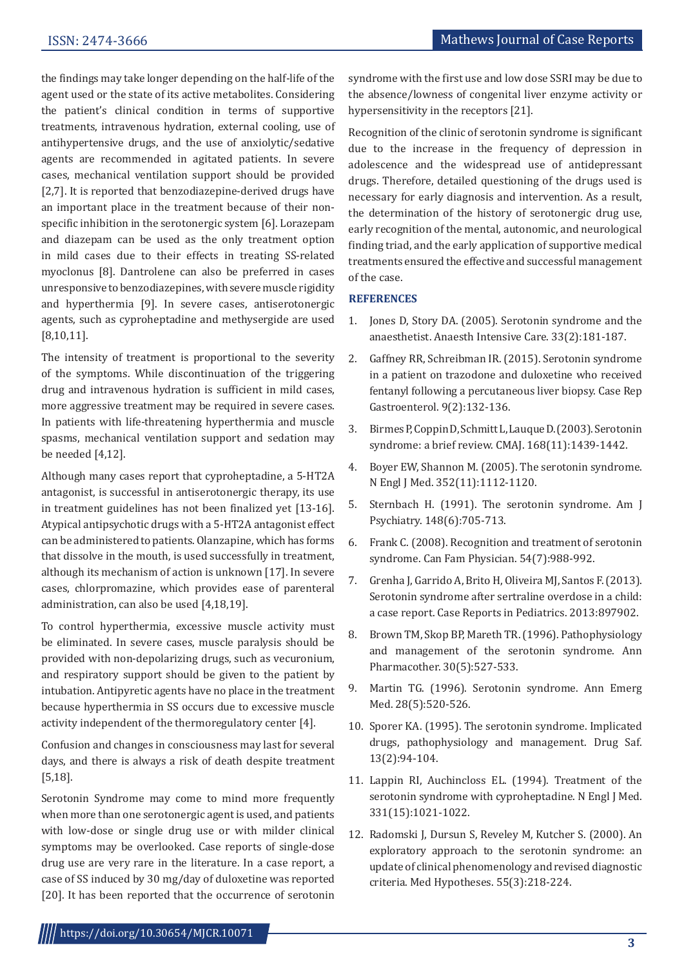the findings may take longer depending on the half-life of the agent used or the state of its active metabolites. Considering the patient's clinical condition in terms of supportive treatments, intravenous hydration, external cooling, use of antihypertensive drugs, and the use of anxiolytic/sedative agents are recommended in agitated patients. In severe cases, mechanical ventilation support should be provided [2,7]. It is reported that benzodiazepine-derived drugs have an important place in the treatment because of their nonspecific inhibition in the serotonergic system [6]. Lorazepam and diazepam can be used as the only treatment option in mild cases due to their effects in treating SS-related myoclonus [8]. Dantrolene can also be preferred in cases unresponsive to benzodiazepines, with severe muscle rigidity and hyperthermia [9]. In severe cases, antiserotonergic agents, such as cyproheptadine and methysergide are used [8,10,11].

The intensity of treatment is proportional to the severity of the symptoms. While discontinuation of the triggering drug and intravenous hydration is sufficient in mild cases, more aggressive treatment may be required in severe cases. In patients with life-threatening hyperthermia and muscle spasms, mechanical ventilation support and sedation may be needed [4,12].

Although many cases report that cyproheptadine, a 5-HT2A antagonist, is successful in antiserotonergic therapy, its use in treatment guidelines has not been finalized yet [13-16]. Atypical antipsychotic drugs with a 5-HT2A antagonist effect can be administered to patients. Olanzapine, which has forms that dissolve in the mouth, is used successfully in treatment, although its mechanism of action is unknown [17]. In severe cases, chlorpromazine, which provides ease of parenteral administration, can also be used [4,18,19].

To control hyperthermia, excessive muscle activity must be eliminated. In severe cases, muscle paralysis should be provided with non-depolarizing drugs, such as vecuronium, and respiratory support should be given to the patient by intubation. Antipyretic agents have no place in the treatment because hyperthermia in SS occurs due to excessive muscle activity independent of the thermoregulatory center [4].

Confusion and changes in consciousness may last for several days, and there is always a risk of death despite treatment [5,18].

Serotonin Syndrome may come to mind more frequently when more than one serotonergic agent is used, and patients with low-dose or single drug use or with milder clinical symptoms may be overlooked. Case reports of single-dose drug use are very rare in the literature. In a case report, a case of SS induced by 30 mg/day of duloxetine was reported [20]. It has been reported that the occurrence of serotonin syndrome with the first use and low dose SSRI may be due to the absence/lowness of congenital liver enzyme activity or hypersensitivity in the receptors [21].

Recognition of the clinic of serotonin syndrome is significant due to the increase in the frequency of depression in adolescence and the widespread use of antidepressant drugs. Therefore, detailed questioning of the drugs used is necessary for early diagnosis and intervention. As a result, the determination of the history of serotonergic drug use, early recognition of the mental, autonomic, and neurological finding triad, and the early application of supportive medical treatments ensured the effective and successful management of the case.

### **REFERENCES**

- 1. Jones D, Story DA. (2005). Serotonin syndrome and the anaesthetist. Anaesth Intensive Care. 33(2):181-187.
- 2. Gaffney RR, Schreibman IR. (2015). Serotonin syndrome in a patient on trazodone and duloxetine who received fentanyl following a percutaneous liver biopsy. Case Rep Gastroenterol. 9(2):132-136.
- 3. Birmes P, Coppin D, Schmitt L, Lauque D. (2003). Serotonin syndrome: a brief review. CMAJ. 168(11):1439-1442.
- 4. Boyer EW, Shannon M. (2005). The serotonin syndrome. N Engl J Med. 352(11):1112-1120.
- 5. Sternbach H. (1991). The serotonin syndrome. Am J Psychiatry. 148(6):705-713.
- 6. Frank C. (2008). Recognition and treatment of serotonin syndrome. Can Fam Physician. 54(7):988-992.
- 7. Grenha J, Garrido A, Brito H, Oliveira MJ, Santos F. (2013). Serotonin syndrome after sertraline overdose in a child: a case report. Case Reports in Pediatrics. 2013:897902.
- 8. Brown TM, Skop BP, Mareth TR. (1996). Pathophysiology and management of the serotonin syndrome. Ann Pharmacother. 30(5):527-533.
- 9. Martin TG. (1996). Serotonin syndrome. Ann Emerg Med. 28(5):520-526.
- 10. Sporer KA. (1995). The serotonin syndrome. Implicated drugs, pathophysiology and management. Drug Saf. 13(2):94-104.
- 11. Lappin RI, Auchincloss EL. (1994). Treatment of the serotonin syndrome with cyproheptadine. N Engl J Med. 331(15):1021-1022.
- 12. Radomski J, Dursun S, Reveley M, Kutcher S. (2000). An exploratory approach to the serotonin syndrome: an update of clinical phenomenology and revised diagnostic criteria. Med Hypotheses. 55(3):218-224.